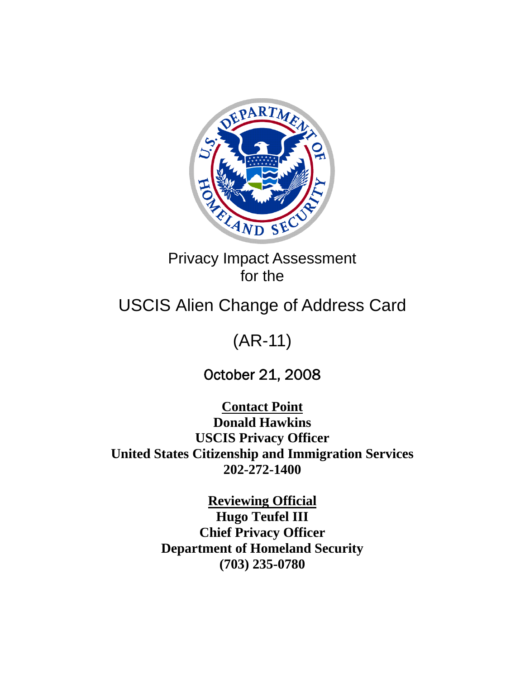

# Privacy Impact Assessment for the

# USCIS Alien Change of Address Card

# (AR-11)

# October 21, 2008

**Contact Point Donald Hawkins USCIS Privacy Officer United States Citizenship and Immigration Services 202-272-1400** 

> **Reviewing Official Hugo Teufel III Chief Privacy Officer Department of Homeland Security (703) 235-0780**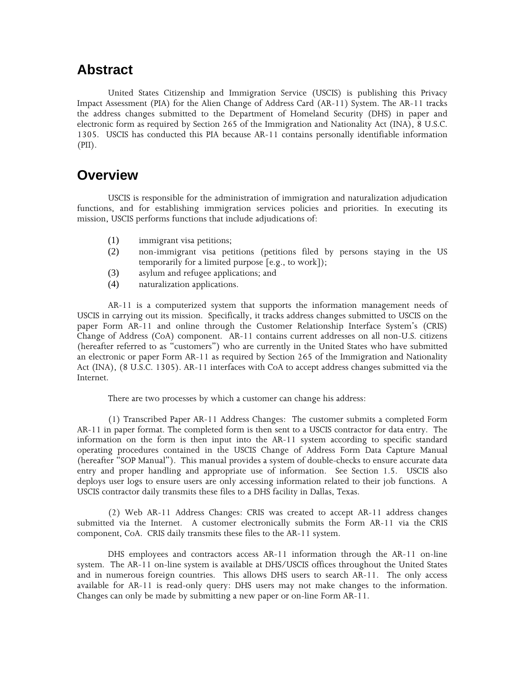## **Abstract**

United States Citizenship and Immigration Service (USCIS) is publishing this Privacy Impact Assessment (PIA) for the Alien Change of Address Card (AR-11) System. The AR-11 tracks the address changes submitted to the Department of Homeland Security (DHS) in paper and electronic form as required by Section 265 of the Immigration and Nationality Act (INA), 8 U.S.C. 1305. USCIS has conducted this PIA because AR-11 contains personally identifiable information (PII).

#### **Overview**

USCIS is responsible for the administration of immigration and naturalization adjudication functions, and for establishing immigration services policies and priorities. In executing its mission, USCIS performs functions that include adjudications of:

- (1) immigrant visa petitions;
- (2) non-immigrant visa petitions (petitions filed by persons staying in the US temporarily for a limited purpose [e.g., to work]);
- (3) asylum and refugee applications; and
- (4) naturalization applications.

AR-11 is a computerized system that supports the information management needs of USCIS in carrying out its mission. Specifically, it tracks address changes submitted to USCIS on the paper Form AR-11 and online through the Customer Relationship Interface System's (CRIS) Change of Address (CoA) component. AR-11 contains current addresses on all non-U.S. citizens (hereafter referred to as "customers") who are currently in the United States who have submitted an electronic or paper Form AR-11 as required by Section 265 of the Immigration and Nationality Act (INA), (8 U.S.C. 1305). AR-11 interfaces with CoA to accept address changes submitted via the Internet.

There are two processes by which a customer can change his address:

(1) Transcribed Paper AR-11 Address Changes: The customer submits a completed Form AR-11 in paper format. The completed form is then sent to a USCIS contractor for data entry. The information on the form is then input into the AR-11 system according to specific standard operating procedures contained in the USCIS Change of Address Form Data Capture Manual (hereafter "SOP Manual"). This manual provides a system of double-checks to ensure accurate data entry and proper handling and appropriate use of information. See Section 1.5. USCIS also deploys user logs to ensure users are only accessing information related to their job functions. A USCIS contractor daily transmits these files to a DHS facility in Dallas, Texas.

(2) Web AR-11 Address Changes: CRIS was created to accept AR-11 address changes submitted via the Internet. A customer electronically submits the Form AR-11 via the CRIS component, CoA. CRIS daily transmits these files to the AR-11 system.

DHS employees and contractors access AR-11 information through the AR-11 on-line system. The AR-11 on-line system is available at DHS/USCIS offices throughout the United States and in numerous foreign countries. This allows DHS users to search AR-11. The only access available for AR-11 is read-only query: DHS users may not make changes to the information. Changes can only be made by submitting a new paper or on-line Form AR-11.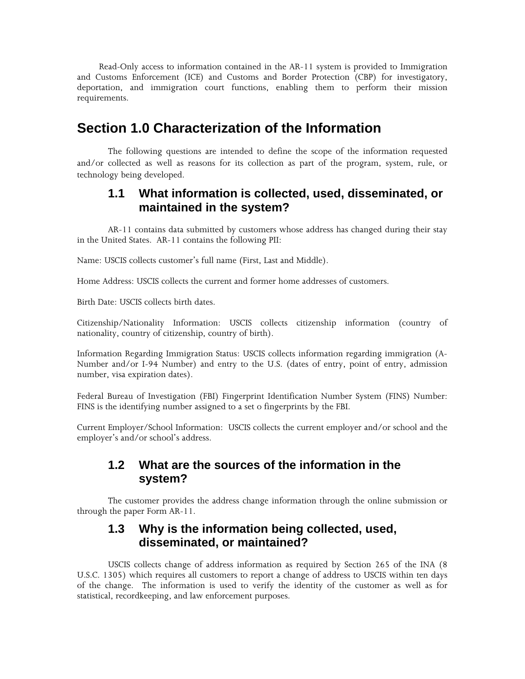Read-Only access to information contained in the AR-11 system is provided to Immigration and Customs Enforcement (ICE) and Customs and Border Protection (CBP) for investigatory, deportation, and immigration court functions, enabling them to perform their mission requirements.

# **Section 1.0 Characterization of the Information**

The following questions are intended to define the scope of the information requested and/or collected as well as reasons for its collection as part of the program, system, rule, or technology being developed.

#### **1.1 What information is collected, used, disseminated, or maintained in the system?**

AR-11 contains data submitted by customers whose address has changed during their stay in the United States. AR-11 contains the following PII:

Name: USCIS collects customer's full name (First, Last and Middle).

Home Address: USCIS collects the current and former home addresses of customers.

Birth Date: USCIS collects birth dates.

Citizenship/Nationality Information: USCIS collects citizenship information (country of nationality, country of citizenship, country of birth).

Information Regarding Immigration Status: USCIS collects information regarding immigration (A-Number and/or I-94 Number) and entry to the U.S. (dates of entry, point of entry, admission number, visa expiration dates).

Federal Bureau of Investigation (FBI) Fingerprint Identification Number System (FINS) Number: FINS is the identifying number assigned to a set o fingerprints by the FBI.

Current Employer/School Information: USCIS collects the current employer and/or school and the employer's and/or school's address.

#### **1.2 What are the sources of the information in the system?**

The customer provides the address change information through the online submission or through the paper Form AR-11.

#### **1.3 Why is the information being collected, used, disseminated, or maintained?**

USCIS collects change of address information as required by Section 265 of the INA (8 U.S.C. 1305) which requires all customers to report a change of address to USCIS within ten days of the change. The information is used to verify the identity of the customer as well as for statistical, recordkeeping, and law enforcement purposes.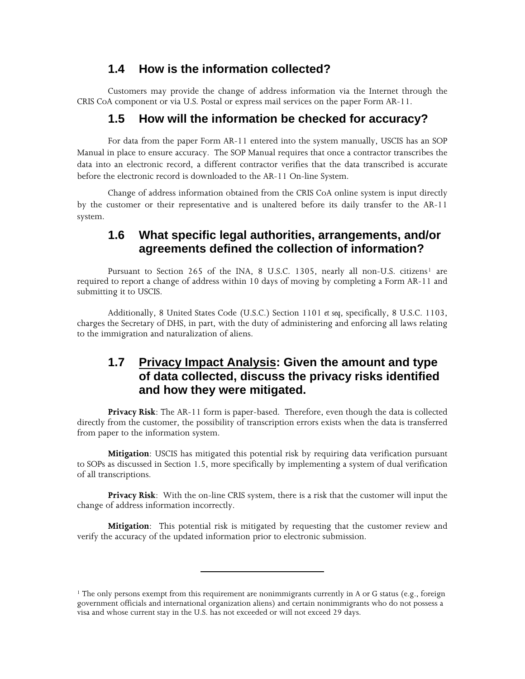#### **1.4 How is the information collected?**

Customers may provide the change of address information via the Internet through the CRIS CoA component or via U.S. Postal or express mail services on the paper Form AR-11.

#### **1.5 How will the information be checked for accuracy?**

For data from the paper Form AR-11 entered into the system manually, USCIS has an SOP Manual in place to ensure accuracy. The SOP Manual requires that once a contractor transcribes the data into an electronic record, a different contractor verifies that the data transcribed is accurate before the electronic record is downloaded to the AR-11 On-line System.

Change of address information obtained from the CRIS CoA online system is input directly by the customer or their representative and is unaltered before its daily transfer to the AR-11 system.

#### **1.6 What specific legal authorities, arrangements, and/or agreements defined the collection of information?**

Pursuant to Section 265 of the INA, 8 U.S.C. [1](#page-3-0)305, nearly all non-U.S. citizens<sup>1</sup> are required to report a change of address within 10 days of moving by completing a Form AR-11 and submitting it to USCIS.

Additionally, 8 United States Code (U.S.C.) Section 1101 *et seq*, specifically, 8 U.S.C. 1103, charges the Secretary of DHS, in part, with the duty of administering and enforcing all laws relating to the immigration and naturalization of aliens.

#### **1.7 Privacy Impact Analysis: Given the amount and type of data collected, discuss the privacy risks identified and how they were mitigated.**

**Privacy Risk**: The AR-11 form is paper-based. Therefore, even though the data is collected directly from the customer, the possibility of transcription errors exists when the data is transferred from paper to the information system.

**Mitigation**: USCIS has mitigated this potential risk by requiring data verification pursuant to SOPs as discussed in Section 1.5, more specifically by implementing a system of dual verification of all transcriptions.

**Privacy Risk**: With the on-line CRIS system, there is a risk that the customer will input the change of address information incorrectly.

**Mitigation**: This potential risk is mitigated by requesting that the customer review and verify the accuracy of the updated information prior to electronic submission.

<span id="page-3-0"></span><sup>&</sup>lt;sup>1</sup> The only persons exempt from this requirement are nonimmigrants currently in A or G status (e.g., foreign government officials and international organization aliens) and certain nonimmigrants who do not possess a visa and whose current stay in the U.S. has not exceeded or will not exceed 29 days.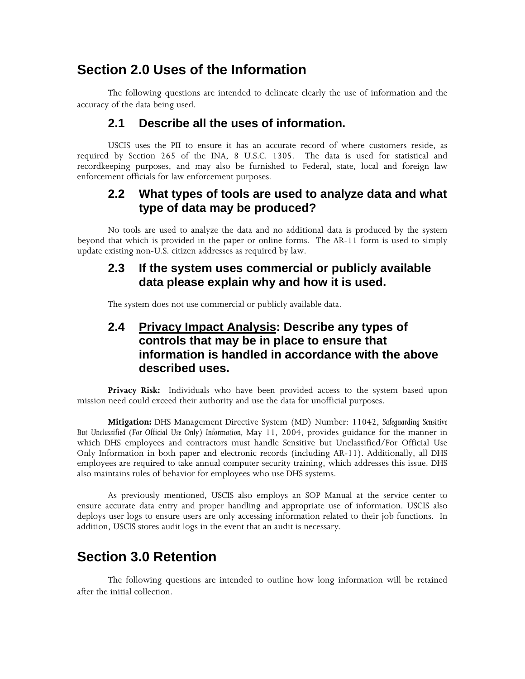## **Section 2.0 Uses of the Information**

The following questions are intended to delineate clearly the use of information and the accuracy of the data being used.

#### **2.1 Describe all the uses of information.**

USCIS uses the PII to ensure it has an accurate record of where customers reside, as required by Section 265 of the INA, 8 U.S.C. 1305. The data is used for statistical and recordkeeping purposes, and may also be furnished to Federal, state, local and foreign law enforcement officials for law enforcement purposes.

#### **2.2 What types of tools are used to analyze data and what type of data may be produced?**

No tools are used to analyze the data and no additional data is produced by the system beyond that which is provided in the paper or online forms. The AR-11 form is used to simply update existing non-U.S. citizen addresses as required by law.

#### **2.3 If the system uses commercial or publicly available data please explain why and how it is used.**

The system does not use commercial or publicly available data.

#### **2.4 Privacy Impact Analysis: Describe any types of controls that may be in place to ensure that information is handled in accordance with the above described uses.**

**Privacy Risk:** Individuals who have been provided access to the system based upon mission need could exceed their authority and use the data for unofficial purposes.

**Mitigation:** DHS Management Directive System (MD) Number: 11042, *Safeguarding Sensitive But Unclassified (For Official Use Only) Information,* May 11, 2004, provides guidance for the manner in which DHS employees and contractors must handle Sensitive but Unclassified/For Official Use Only Information in both paper and electronic records (including AR-11). Additionally, all DHS employees are required to take annual computer security training, which addresses this issue. DHS also maintains rules of behavior for employees who use DHS systems.

As previously mentioned, USCIS also employs an SOP Manual at the service center to ensure accurate data entry and proper handling and appropriate use of information. USCIS also deploys user logs to ensure users are only accessing information related to their job functions. In addition, USCIS stores audit logs in the event that an audit is necessary.

# **Section 3.0 Retention**

The following questions are intended to outline how long information will be retained after the initial collection.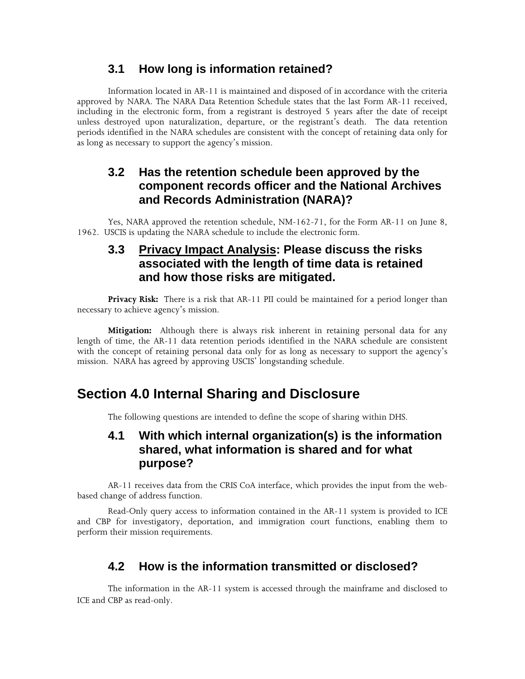#### **3.1 How long is information retained?**

Information located in AR-11 is maintained and disposed of in accordance with the criteria approved by NARA. The NARA Data Retention Schedule states that the last Form AR-11 received, including in the electronic form, from a registrant is destroyed 5 years after the date of receipt unless destroyed upon naturalization, departure, or the registrant's death. The data retention periods identified in the NARA schedules are consistent with the concept of retaining data only for as long as necessary to support the agency's mission.

#### **3.2 Has the retention schedule been approved by the component records officer and the National Archives and Records Administration (NARA)?**

 Yes, NARA approved the retention schedule, NM-162-71, for the Form AR-11 on June 8, 1962. USCIS is updating the NARA schedule to include the electronic form.

#### **3.3 Privacy Impact Analysis: Please discuss the risks associated with the length of time data is retained and how those risks are mitigated.**

**Privacy Risk:** There is a risk that AR-11 PII could be maintained for a period longer than necessary to achieve agency's mission.

**Mitigation:** Although there is always risk inherent in retaining personal data for any length of time, the AR-11 data retention periods identified in the NARA schedule are consistent with the concept of retaining personal data only for as long as necessary to support the agency's mission. NARA has agreed by approving USCIS' longstanding schedule.

# **Section 4.0 Internal Sharing and Disclosure**

The following questions are intended to define the scope of sharing within DHS.

#### **4.1 With which internal organization(s) is the information shared, what information is shared and for what purpose?**

AR-11 receives data from the CRIS CoA interface, which provides the input from the webbased change of address function.

Read-Only query access to information contained in the AR-11 system is provided to ICE and CBP for investigatory, deportation, and immigration court functions, enabling them to perform their mission requirements.

#### **4.2 How is the information transmitted or disclosed?**

The information in the AR-11 system is accessed through the mainframe and disclosed to ICE and CBP as read-only.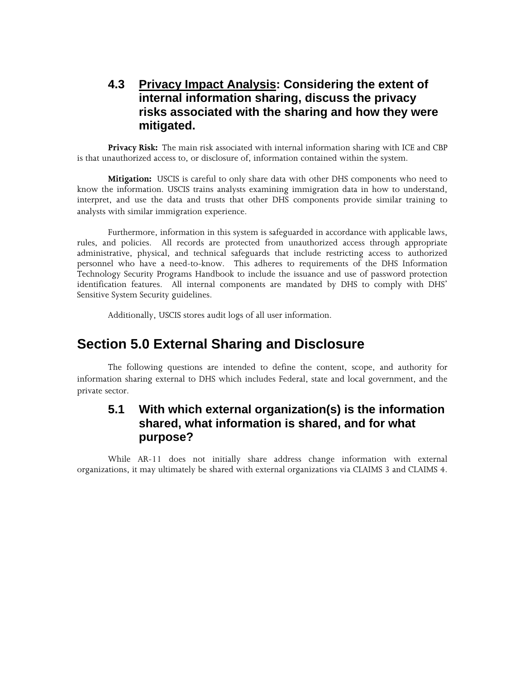#### **4.3 Privacy Impact Analysis: Considering the extent of internal information sharing, discuss the privacy risks associated with the sharing and how they were mitigated.**

**Privacy Risk:** The main risk associated with internal information sharing with ICE and CBP is that unauthorized access to, or disclosure of, information contained within the system.

**Mitigation:**USCIS is careful to only share data with other DHS components who need to know the information. USCIS trains analysts examining immigration data in how to understand, interpret, and use the data and trusts that other DHS components provide similar training to analysts with similar immigration experience.

Furthermore, information in this system is safeguarded in accordance with applicable laws, rules, and policies. All records are protected from unauthorized access through appropriate administrative, physical, and technical safeguards that include restricting access to authorized personnel who have a need-to-know. This adheres to requirements of the DHS Information Technology Security Programs Handbook to include the issuance and use of password protection identification features. All internal components are mandated by DHS to comply with DHS' Sensitive System Security guidelines.

Additionally, USCIS stores audit logs of all user information.

## **Section 5.0 External Sharing and Disclosure**

The following questions are intended to define the content, scope, and authority for information sharing external to DHS which includes Federal, state and local government, and the private sector.

#### **5.1 With which external organization(s) is the information shared, what information is shared, and for what purpose?**

While AR-11 does not initially share address change information with external organizations, it may ultimately be shared with external organizations via CLAIMS 3 and CLAIMS 4.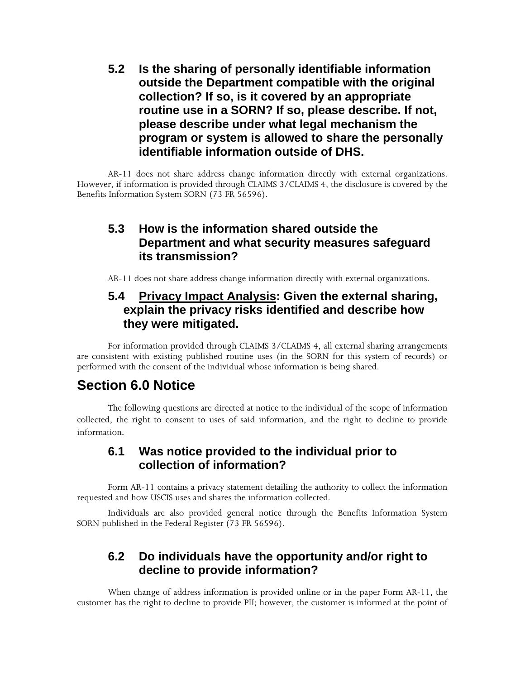**5.2 Is the sharing of personally identifiable information outside the Department compatible with the original collection? If so, is it covered by an appropriate routine use in a SORN? If so, please describe. If not, please describe under what legal mechanism the program or system is allowed to share the personally identifiable information outside of DHS.** 

AR-11 does not share address change information directly with external organizations. However, if information is provided through CLAIMS 3/CLAIMS 4, the disclosure is covered by the Benefits Information System SORN (73 FR 56596).

#### **5.3 How is the information shared outside the Department and what security measures safeguard its transmission?**

AR-11 does not share address change information directly with external organizations.

#### **5.4 Privacy Impact Analysis: Given the external sharing, explain the privacy risks identified and describe how they were mitigated.**

For information provided through CLAIMS 3/CLAIMS 4, all external sharing arrangements are consistent with existing published routine uses (in the SORN for this system of records) or performed with the consent of the individual whose information is being shared.

# **Section 6.0 Notice**

The following questions are directed at notice to the individual of the scope of information collected, the right to consent to uses of said information, and the right to decline to provide information.

#### **6.1 Was notice provided to the individual prior to collection of information?**

Form AR-11 contains a privacy statement detailing the authority to collect the information requested and how USCIS uses and shares the information collected.

Individuals are also provided general notice through the Benefits Information System SORN published in the Federal Register (73 FR 56596).

#### **6.2 Do individuals have the opportunity and/or right to decline to provide information?**

When change of address information is provided online or in the paper Form AR-11, the customer has the right to decline to provide PII; however, the customer is informed at the point of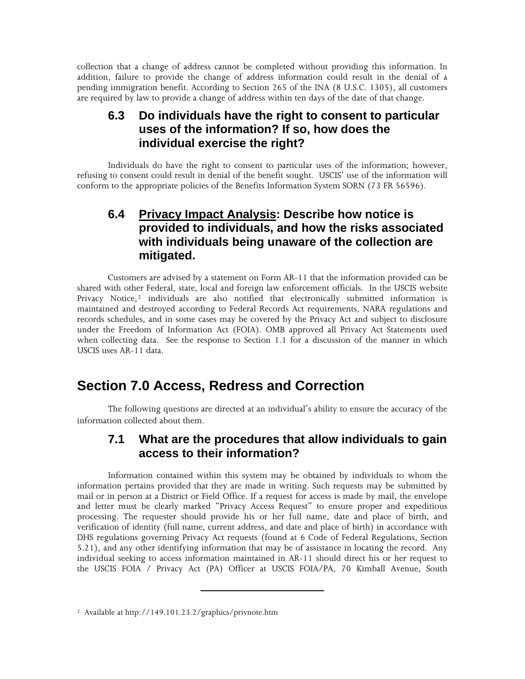collection that a change of address cannot be completed without providing this information. In addition, failure to provide the change of address information could result in the denial of a pending immigration benefit. According to Section 265 of the INA (8 U.S.C. 1305), all customers are required by law to provide a change of address within ten days of the date of that change.

#### **6.3 Do individuals have the right to consent to particular uses of the information? If so, how does the individual exercise the right?**

Individuals do have the right to consent to particular uses of the information; however, refusing to consent could result in denial of the benefit sought. USCIS' use of the information will conform to the appropriate policies of the Benefits Information System SORN (73 FR 56596).

#### **6.4 Privacy Impact Analysis: Describe how notice is provided to individuals, and how the risks associated with individuals being unaware of the collection are mitigated.**

Customers are advised by a statement on Form AR-11 that the information provided can be shared with other Federal, state, local and foreign law enforcement officials. In the USCIS website Privacy Notice,<sup>[2](#page-8-0)</sup> individuals are also notified that electronically submitted information is maintained and destroyed according to Federal Records Act requirements, NARA regulations and records schedules, and in some cases may be covered by the Privacy Act and subject to disclosure under the Freedom of Information Act (FOIA). OMB approved all Privacy Act Statements used when collecting data. See the response to Section 1.1 for a discussion of the manner in which USCIS uses AR-11 data.

# **Section 7.0 Access, Redress and Correction**

The following questions are directed at an individual's ability to ensure the accuracy of the information collected about them.

#### **7.1 What are the procedures that allow individuals to gain access to their information?**

Information contained within this system may be obtained by individuals to whom the information pertains provided that they are made in writing. Such requests may be submitted by mail or in person at a District or Field Office. If a request for access is made by mail, the envelope and letter must be clearly marked "Privacy Access Request" to ensure proper and expeditious processing. The requester should provide his or her full name, date and place of birth, and verification of identity (full name, current address, and date and place of birth) in accordance with DHS regulations governing Privacy Act requests (found at 6 Code of Federal Regulations, Section 5.21), and any other identifying information that may be of assistance in locating the record. Any individual seeking to access information maintained in AR-11 should direct his or her request to the USCIS FOIA / Privacy Act (PA) Officer at USCIS FOIA/PA, 70 Kimball Avenue, South

<span id="page-8-0"></span><sup>2</sup> Available at http://149.101.23.2/graphics/privnote.htm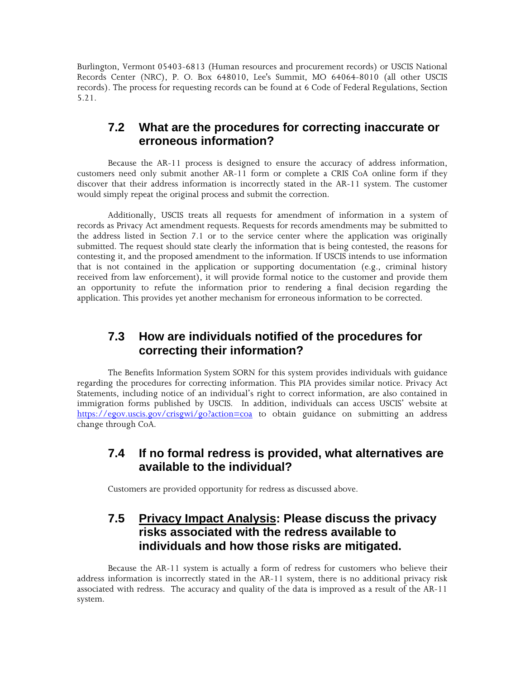Burlington, Vermont 05403-6813 (Human resources and procurement records) or USCIS National Records Center (NRC), P. O. Box 648010, Lee's Summit, MO 64064-8010 (all other USCIS records). The process for requesting records can be found at 6 Code of Federal Regulations, Section 5.21.

#### **7.2 What are the procedures for correcting inaccurate or erroneous information?**

Because the AR-11 process is designed to ensure the accuracy of address information, customers need only submit another AR-11 form or complete a CRIS CoA online form if they discover that their address information is incorrectly stated in the AR-11 system. The customer would simply repeat the original process and submit the correction.

Additionally, USCIS treats all requests for amendment of information in a system of records as Privacy Act amendment requests. Requests for records amendments may be submitted to the address listed in Section 7.1 or to the service center where the application was originally submitted. The request should state clearly the information that is being contested, the reasons for contesting it, and the proposed amendment to the information. If USCIS intends to use information that is not contained in the application or supporting documentation (e.g., criminal history received from law enforcement), it will provide formal notice to the customer and provide them an opportunity to refute the information prior to rendering a final decision regarding the application. This provides yet another mechanism for erroneous information to be corrected.

#### **7.3 How are individuals notified of the procedures for correcting their information?**

The Benefits Information System SORN for this system provides individuals with guidance regarding the procedures for correcting information. This PIA provides similar notice. Privacy Act Statements, including notice of an individual's right to correct information, are also contained in immigration forms published by USCIS. In addition, individuals can access USCIS' website at <https://egov.uscis.gov/crisgwi/go?action=coa> to obtain guidance on submitting an address change through CoA.

#### **7.4 If no formal redress is provided, what alternatives are available to the individual?**

Customers are provided opportunity for redress as discussed above.

#### **7.5 Privacy Impact Analysis: Please discuss the privacy risks associated with the redress available to individuals and how those risks are mitigated.**

Because the AR-11 system is actually a form of redress for customers who believe their address information is incorrectly stated in the AR-11 system, there is no additional privacy risk associated with redress. The accuracy and quality of the data is improved as a result of the AR-11 system.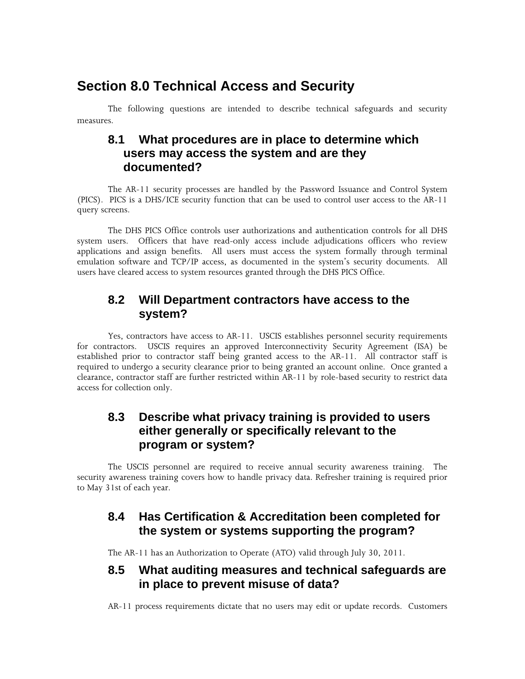# **Section 8.0 Technical Access and Security**

The following questions are intended to describe technical safeguards and security measures.

#### **8.1 What procedures are in place to determine which users may access the system and are they documented?**

The AR-11 security processes are handled by the Password Issuance and Control System (PICS). PICS is a DHS/ICE security function that can be used to control user access to the AR-11 query screens.

The DHS PICS Office controls user authorizations and authentication controls for all DHS system users. Officers that have read-only access include adjudications officers who review applications and assign benefits. All users must access the system formally through terminal emulation software and TCP/IP access, as documented in the system's security documents. All users have cleared access to system resources granted through the DHS PICS Office.

#### **8.2 Will Department contractors have access to the system?**

Yes, contractors have access to AR-11. USCIS establishes personnel security requirements for contractors. USCIS requires an approved Interconnectivity Security Agreement (ISA) be established prior to contractor staff being granted access to the AR-11. All contractor staff is required to undergo a security clearance prior to being granted an account online. Once granted a clearance, contractor staff are further restricted within AR-11 by role-based security to restrict data access for collection only.

#### **8.3 Describe what privacy training is provided to users either generally or specifically relevant to the program or system?**

The USCIS personnel are required to receive annual security awareness training. The security awareness training covers how to handle privacy data. Refresher training is required prior to May 31st of each year.

#### **8.4 Has Certification & Accreditation been completed for the system or systems supporting the program?**

The AR-11 has an Authorization to Operate (ATO) valid through July 30, 2011.

#### **8.5 What auditing measures and technical safeguards are in place to prevent misuse of data?**

AR-11 process requirements dictate that no users may edit or update records. Customers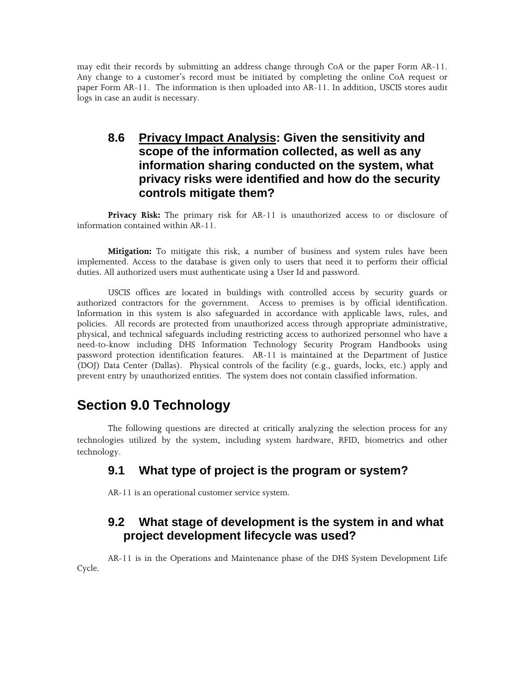may edit their records by submitting an address change through CoA or the paper Form AR-11. Any change to a customer's record must be initiated by completing the online CoA request or paper Form AR-11. The information is then uploaded into AR-11. In addition, USCIS stores audit logs in case an audit is necessary.

#### **8.6 Privacy Impact Analysis: Given the sensitivity and scope of the information collected, as well as any information sharing conducted on the system, what privacy risks were identified and how do the security controls mitigate them?**

**Privacy Risk:** The primary risk for AR-11 is unauthorized access to or disclosure of information contained within AR-11.

**Mitigation:** To mitigate this risk, a number of business and system rules have been implemented. Access to the database is given only to users that need it to perform their official duties. All authorized users must authenticate using a User Id and password.

USCIS offices are located in buildings with controlled access by security guards or authorized contractors for the government. Access to premises is by official identification. Information in this system is also safeguarded in accordance with applicable laws, rules, and policies. All records are protected from unauthorized access through appropriate administrative, physical, and technical safeguards including restricting access to authorized personnel who have a need-to-know including DHS Information Technology Security Program Handbooks using password protection identification features. AR-11 is maintained at the Department of Justice (DOJ) Data Center (Dallas). Physical controls of the facility (e.g., guards, locks, etc.) apply and prevent entry by unauthorized entities. The system does not contain classified information.

#### **Section 9.0 Technology**

The following questions are directed at critically analyzing the selection process for any technologies utilized by the system, including system hardware, RFID, biometrics and other technology.

#### **9.1 What type of project is the program or system?**

AR-11 is an operational customer service system.

#### **9.2 What stage of development is the system in and what project development lifecycle was used?**

AR-11 is in the Operations and Maintenance phase of the DHS System Development Life Cycle.